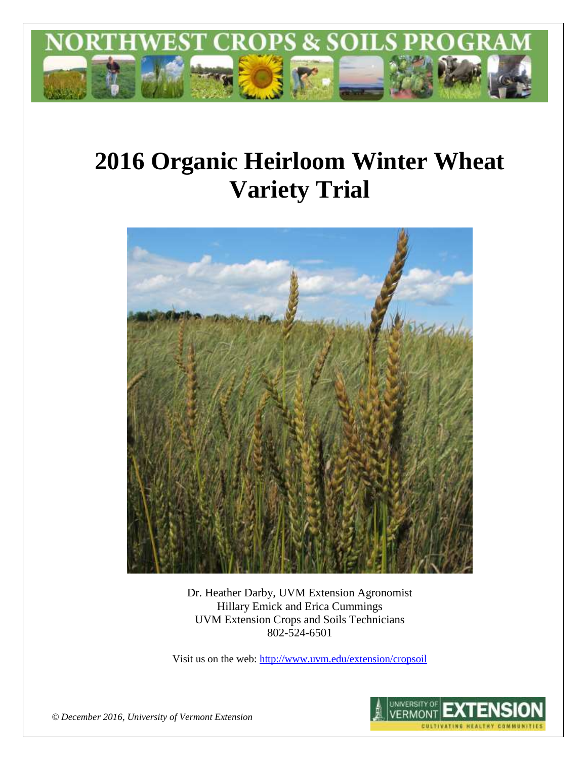

# **2016 Organic Heirloom Winter Wheat Variety Trial**



Dr. Heather Darby, UVM Extension Agronomist Hillary Emick and Erica Cummings UVM Extension Crops and Soils Technicians 802-524-6501

Visit us on the web[: http://www.uvm.edu/extension/cropsoil](http://www.uvm.edu/extension/cropsoil)



*© December 2016, University of Vermont Extension*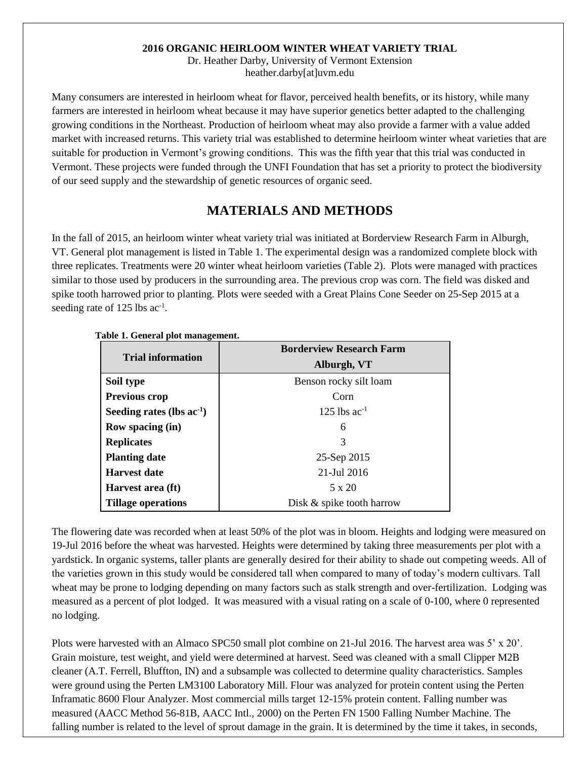#### **2016 ORGANIC HEIRLOOM WINTER WHEAT VARIETY TRIAL**

Dr. Heather Darby, University of Vermont Extension heather.darby[at]uvm.edu

Many consumers are interested in heirloom wheat for flavor, perceived health benefits, or its history, while many farmers are interested in heirloom wheat because it may have superior genetics better adapted to the challenging growing conditions in the Northeast. Production of heirloom wheat may also provide a farmer with a value added market with increased returns. This variety trial was established to determine heirloom winter wheat varieties that are suitable for production in Vermont's growing conditions. This was the fifth year that this trial was conducted in Vermont. These projects were funded through the UNFI Foundation that has set a priority to protect the biodiversity of our seed supply and the stewardship of genetic resources of organic seed.

### **MATERIALS AND METHODS**

In the fall of 2015, an heirloom winter wheat variety trial was initiated at Borderview Research Farm in Alburgh, VT. General plot management is listed in Table 1. The experimental design was a randomized complete block with three replicates. Treatments were 20 winter wheat heirloom varieties (Table 2). Plots were managed with practices similar to those used by producers in the surrounding area. The previous crop was corn. The field was disked and spike tooth harrowed prior to planting. Plots were seeded with a Great Plains Cone Seeder on 25-Sep 2015 at a seeding rate of 125 lbs ac<sup>-1</sup>.

| -                              | <b>Borderview Research Farm</b> |  |  |  |
|--------------------------------|---------------------------------|--|--|--|
| <b>Trial information</b>       | Alburgh, VT                     |  |  |  |
| Soil type                      | Benson rocky silt loam          |  |  |  |
| <b>Previous crop</b>           | Corn                            |  |  |  |
| Seeding rates (lbs $ac^{-1}$ ) | 125 lbs $ac^{-1}$               |  |  |  |
| <b>Row spacing (in)</b>        | 6                               |  |  |  |
| <b>Replicates</b>              | 3                               |  |  |  |
| <b>Planting date</b>           | 25-Sep 2015                     |  |  |  |
| <b>Harvest date</b>            | 21-Jul 2016                     |  |  |  |
| Harvest area (ft)              | 5 x 20                          |  |  |  |
| <b>Tillage operations</b>      | Disk & spike tooth harrow       |  |  |  |

**Table 1. General plot management.**

The flowering date was recorded when at least 50% of the plot was in bloom. Heights and lodging were measured on 19-Jul 2016 before the wheat was harvested. Heights were determined by taking three measurements per plot with a yardstick. In organic systems, taller plants are generally desired for their ability to shade out competing weeds. All of the varieties grown in this study would be considered tall when compared to many of today's modern cultivars. Tall wheat may be prone to lodging depending on many factors such as stalk strength and over-fertilization. Lodging was measured as a percent of plot lodged. It was measured with a visual rating on a scale of 0-100, where 0 represented no lodging.

Plots were harvested with an Almaco SPC50 small plot combine on 21-Jul 2016. The harvest area was 5' x 20'. Grain moisture, test weight, and yield were determined at harvest. Seed was cleaned with a small Clipper M2B cleaner (A.T. Ferrell, Bluffton, IN) and a subsample was collected to determine quality characteristics. Samples were ground using the Perten LM3100 Laboratory Mill. Flour was analyzed for protein content using the Perten Inframatic 8600 Flour Analyzer. Most commercial mills target 12-15% protein content. Falling number was measured (AACC Method 56-81B, AACC Intl., 2000) on the Perten FN 1500 Falling Number Machine. The falling number is related to the level of sprout damage in the grain. It is determined by the time it takes, in seconds,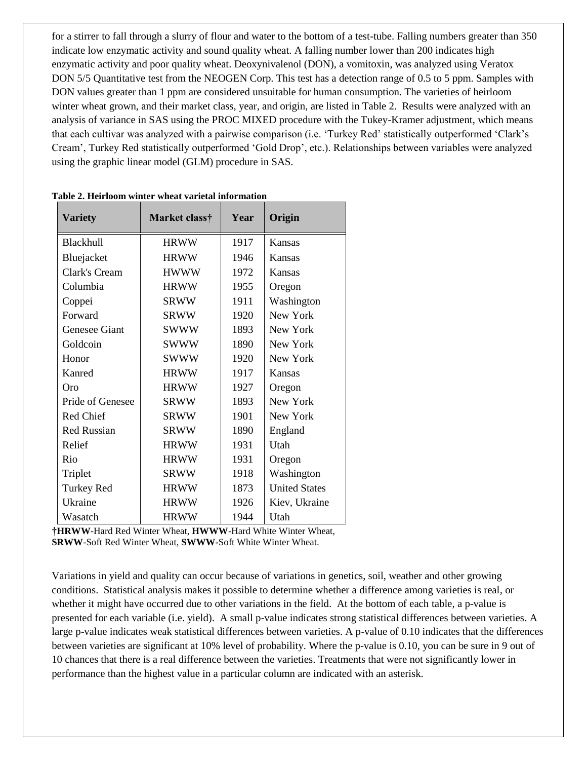for a stirrer to fall through a slurry of flour and water to the bottom of a test-tube. Falling numbers greater than 350 indicate low enzymatic activity and sound quality wheat. A falling number lower than 200 indicates high enzymatic activity and poor quality wheat. Deoxynivalenol (DON), a vomitoxin, was analyzed using Veratox DON 5/5 Quantitative test from the NEOGEN Corp. This test has a detection range of 0.5 to 5 ppm. Samples with DON values greater than 1 ppm are considered unsuitable for human consumption. The varieties of heirloom winter wheat grown, and their market class, year, and origin, are listed in Table 2. Results were analyzed with an analysis of variance in SAS using the PROC MIXED procedure with the Tukey-Kramer adjustment, which means that each cultivar was analyzed with a pairwise comparison (i.e. 'Turkey Red' statistically outperformed 'Clark's Cream', Turkey Red statistically outperformed 'Gold Drop', etc.). Relationships between variables were analyzed using the graphic linear model (GLM) procedure in SAS.

| <b>Variety</b>     | Market class† | Year | Origin               |
|--------------------|---------------|------|----------------------|
| <b>Blackhull</b>   | <b>HRWW</b>   | 1917 | Kansas               |
| Bluejacket         | <b>HRWW</b>   | 1946 | Kansas               |
| Clark's Cream      | <b>HWWW</b>   | 1972 | Kansas               |
| Columbia           | <b>HRWW</b>   | 1955 | Oregon               |
| Coppei             | <b>SRWW</b>   | 1911 | Washington           |
| Forward            | <b>SRWW</b>   | 1920 | New York             |
| Genesee Giant      | <b>SWWW</b>   | 1893 | New York             |
| Goldcoin           | <b>SWWW</b>   | 1890 | New York             |
| Honor              | <b>SWWW</b>   | 1920 | New York             |
| Kanred             | <b>HRWW</b>   | 1917 | Kansas               |
| Oro                | <b>HRWW</b>   | 1927 | Oregon               |
| Pride of Genesee   | <b>SRWW</b>   | 1893 | New York             |
| Red Chief          | <b>SRWW</b>   | 1901 | New York             |
| <b>Red Russian</b> | <b>SRWW</b>   | 1890 | England              |
| Relief             | <b>HRWW</b>   | 1931 | Utah                 |
| Rio                | <b>HRWW</b>   | 1931 | Oregon               |
| Triplet            | <b>SRWW</b>   | 1918 | Washington           |
| <b>Turkey Red</b>  | <b>HRWW</b>   | 1873 | <b>United States</b> |
| Ukraine            | <b>HRWW</b>   | 1926 | Kiev, Ukraine        |
| Wasatch            | <b>HRWW</b>   | 1944 | Utah                 |

**Table 2. Heirloom winter wheat varietal information**

**†HRWW**-Hard Red Winter Wheat, **HWWW**-Hard White Winter Wheat, **SRWW**-Soft Red Winter Wheat, **SWWW-**Soft White Winter Wheat.

Variations in yield and quality can occur because of variations in genetics, soil, weather and other growing conditions. Statistical analysis makes it possible to determine whether a difference among varieties is real, or whether it might have occurred due to other variations in the field. At the bottom of each table, a p-value is presented for each variable (i.e. yield). A small p-value indicates strong statistical differences between varieties. A large p-value indicates weak statistical differences between varieties. A p-value of 0.10 indicates that the differences between varieties are significant at 10% level of probability. Where the p-value is 0.10, you can be sure in 9 out of 10 chances that there is a real difference between the varieties. Treatments that were not significantly lower in performance than the highest value in a particular column are indicated with an asterisk.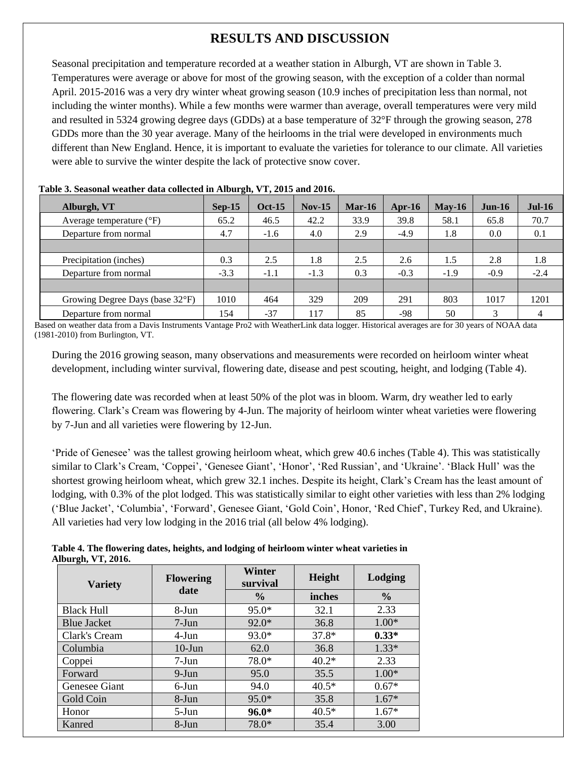# **RESULTS AND DISCUSSION**

Seasonal precipitation and temperature recorded at a weather station in Alburgh, VT are shown in Table 3. Temperatures were average or above for most of the growing season, with the exception of a colder than normal April. 2015-2016 was a very dry winter wheat growing season (10.9 inches of precipitation less than normal, not including the winter months). While a few months were warmer than average, overall temperatures were very mild and resulted in 5324 growing degree days (GDDs) at a base temperature of 32°F through the growing season, 278 GDDs more than the 30 year average. Many of the heirlooms in the trial were developed in environments much different than New England. Hence, it is important to evaluate the varieties for tolerance to our climate. All varieties were able to survive the winter despite the lack of protective snow cover.

| Table 5: Deasonal weather gata concerta in mourgh, y 1, 2015 and 2010. |          |               |          |          |        |          |          |               |
|------------------------------------------------------------------------|----------|---------------|----------|----------|--------|----------|----------|---------------|
| Alburgh, VT                                                            | $Sep-15$ | <b>Oct-15</b> | $Nov-15$ | $Mar-16$ | Apr-16 | $May-16$ | $Jun-16$ | <b>Jul-16</b> |
| Average temperature $(^{\circ}F)$                                      | 65.2     | 46.5          | 42.2     | 33.9     | 39.8   | 58.1     | 65.8     | 70.7          |
| Departure from normal                                                  | 4.7      | $-1.6$        | 4.0      | 2.9      | $-4.9$ | 1.8      | 0.0      | 0.1           |
|                                                                        |          |               |          |          |        |          |          |               |
| Precipitation (inches)                                                 | 0.3      | 2.5           | 1.8      | 2.5      | 2.6    | 1.5      | 2.8      | 1.8           |
| Departure from normal                                                  | $-3.3$   | $-1.1$        | $-1.3$   | 0.3      | $-0.3$ | $-1.9$   | $-0.9$   | $-2.4$        |
|                                                                        |          |               |          |          |        |          |          |               |
| Growing Degree Days (base 32°F)                                        | 1010     | 464           | 329      | 209      | 291    | 803      | 1017     | 1201          |
| Departure from normal                                                  | 154      | $-37$         | 117      | 85       | -98    | 50       | 3        | 4             |

|  |  |  |  |  |  |  |  | Table 3. Seasonal weather data collected in Alburgh, VT, 2015 and 2016. |  |  |  |  |
|--|--|--|--|--|--|--|--|-------------------------------------------------------------------------|--|--|--|--|
|--|--|--|--|--|--|--|--|-------------------------------------------------------------------------|--|--|--|--|

Based on weather data from a Davis Instruments Vantage Pro2 with WeatherLink data logger. Historical averages are for 30 years of NOAA data (1981-2010) from Burlington, VT.

During the 2016 growing season, many observations and measurements were recorded on heirloom winter wheat development, including winter survival, flowering date, disease and pest scouting, height, and lodging (Table 4).

The flowering date was recorded when at least 50% of the plot was in bloom. Warm, dry weather led to early flowering. Clark's Cream was flowering by 4-Jun. The majority of heirloom winter wheat varieties were flowering by 7-Jun and all varieties were flowering by 12-Jun.

'Pride of Genesee' was the tallest growing heirloom wheat, which grew 40.6 inches (Table 4). This was statistically similar to Clark's Cream, 'Coppei', 'Genesee Giant', 'Honor', 'Red Russian', and 'Ukraine'. 'Black Hull' was the shortest growing heirloom wheat, which grew 32.1 inches. Despite its height, Clark's Cream has the least amount of lodging, with 0.3% of the plot lodged. This was statistically similar to eight other varieties with less than 2% lodging ('Blue Jacket', 'Columbia', 'Forward', Genesee Giant, 'Gold Coin', Honor, 'Red Chief', Turkey Red, and Ukraine). All varieties had very low lodging in the 2016 trial (all below 4% lodging).

**Table 4. The flowering dates, heights, and lodging of heirloom winter wheat varieties in Alburgh, VT, 2016.** 

| <b>Variety</b>     | <b>Flowering</b> | Winter<br>survival | Height  | Lodging       |
|--------------------|------------------|--------------------|---------|---------------|
|                    | date             | $\frac{6}{9}$      | inches  | $\frac{0}{0}$ |
| <b>Black Hull</b>  | 8-Jun            | $95.0*$            | 32.1    | 2.33          |
| <b>Blue Jacket</b> | $7-J$ un         | $92.0*$            | 36.8    | $1.00*$       |
| Clark's Cream      | $4-J$ un         | 93.0*              | $37.8*$ | $0.33*$       |
| Columbia           | $10$ -Jun        | 62.0               | 36.8    | $1.33*$       |
| Coppei             | $7-Jun$          | 78.0*              | $40.2*$ | 2.33          |
| Forward            | $9-Jun$          | 95.0               | 35.5    | $1.00*$       |
| Genesee Giant      | 6-Jun            | 94.0               | $40.5*$ | $0.67*$       |
| Gold Coin          | $8-J$ un         | $95.0*$            | 35.8    | $1.67*$       |
| Honor              | $5-Jun$          | $96.0*$            | $40.5*$ | $1.67*$       |
| Kanred             | 8-Jun            | 78.0*              | 35.4    | 3.00          |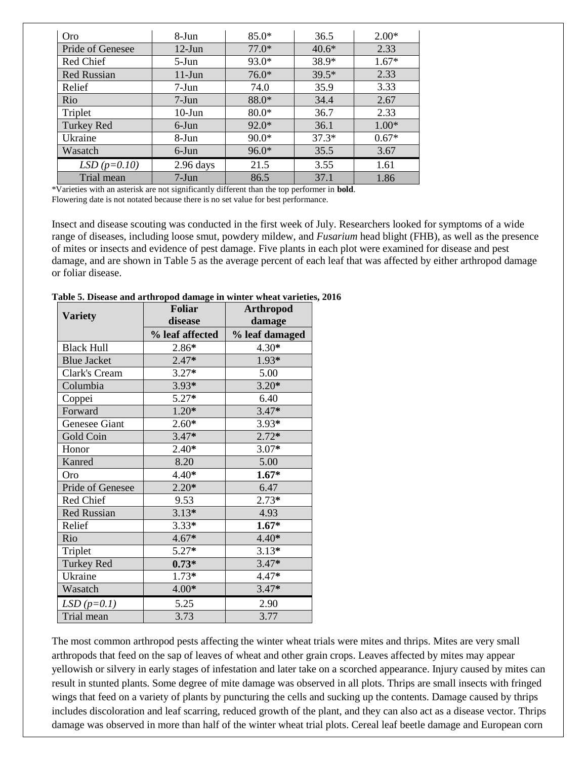| <b>Oro</b>         | 8-Jun       | $85.0*$ | 36.5    | $2.00*$ |
|--------------------|-------------|---------|---------|---------|
| Pride of Genesee   | $12$ -Jun   | $77.0*$ | $40.6*$ | 2.33    |
| Red Chief          | $5-Jun$     | 93.0*   | 38.9*   | $1.67*$ |
| <b>Red Russian</b> | $11-J$ un   | $76.0*$ | $39.5*$ | 2.33    |
| Relief             | $7-Jun$     | 74.0    | 35.9    | 3.33    |
| Rio                | $7-Jun$     | 88.0*   | 34.4    | 2.67    |
| Triplet            | $10$ -Jun   | $80.0*$ | 36.7    | 2.33    |
| <b>Turkey Red</b>  | 6-Jun       | $92.0*$ | 36.1    | $1.00*$ |
| Ukraine            | 8-Jun       | $90.0*$ | $37.3*$ | $0.67*$ |
| Wasatch            | 6-Jun       | $96.0*$ | 35.5    | 3.67    |
| $LSD (p=0.10)$     | $2.96$ days | 21.5    | 3.55    | 1.61    |
| Trial mean         | $7-Jun$     | 86.5    | 37.1    | 1.86    |

\*Varieties with an asterisk are not significantly different than the top performer in **bold**. Flowering date is not notated because there is no set value for best performance.

Insect and disease scouting was conducted in the first week of July. Researchers looked for symptoms of a wide range of diseases, including loose smut, powdery mildew, and *Fusarium* head blight (FHB), as well as the presence of mites or insects and evidence of pest damage. Five plants in each plot were examined for disease and pest damage, and are shown in Table 5 as the average percent of each leaf that was affected by either arthropod damage or foliar disease.

|                    | <b>Foliar</b>   | <b>Arthropod</b> |
|--------------------|-----------------|------------------|
| <b>Variety</b>     | disease         | damage           |
|                    | % leaf affected | % leaf damaged   |
| <b>Black Hull</b>  | 2.86*           | $4.30*$          |
| <b>Blue Jacket</b> | $2.47*$         | $1.93*$          |
| Clark's Cream      | $3.27*$         | 5.00             |
| Columbia           | $3.93*$         | $3.20*$          |
| Coppei             | $5.27*$         | 6.40             |
| Forward            | $1.20*$         | $3.47*$          |
| Genesee Giant      | $2.60*$         | $3.93*$          |
| Gold Coin          | $3.47*$         | $2.72*$          |
| Honor              | $2.40*$         | $3.07*$          |
| Kanred             | 8.20            | 5.00             |
| Oro                | $4.40*$         | $1.67*$          |
| Pride of Genesee   | $2.20*$         | 6.47             |
| Red Chief          | 9.53            | $2.73*$          |
| <b>Red Russian</b> | $3.13*$         | 4.93             |
| Relief             | $3.33*$         | $1.67*$          |
| Rio                | $4.67*$         | $4.40*$          |
| Triplet            | $5.27*$         | $3.13*$          |
| Turkey Red         | $0.73*$         | $3.47*$          |
| Ukraine            | $1.73*$         | $4.47*$          |
| Wasatch            | $4.00*$         | $3.47*$          |
| $LSD(p=0.1)$       | 5.25            | 2.90             |
| Trial mean         | 3.73            | 3.77             |

**Table 5. Disease and arthropod damage in winter wheat varieties, 2016**

The most common arthropod pests affecting the winter wheat trials were mites and thrips. Mites are very small arthropods that feed on the sap of leaves of wheat and other grain crops. Leaves affected by mites may appear yellowish or silvery in early stages of infestation and later take on a scorched appearance. Injury caused by mites can result in stunted plants. Some degree of mite damage was observed in all plots. Thrips are small insects with fringed wings that feed on a variety of plants by puncturing the cells and sucking up the contents. Damage caused by thrips includes discoloration and leaf scarring, reduced growth of the plant, and they can also act as a disease vector. Thrips damage was observed in more than half of the winter wheat trial plots. Cereal leaf beetle damage and European corn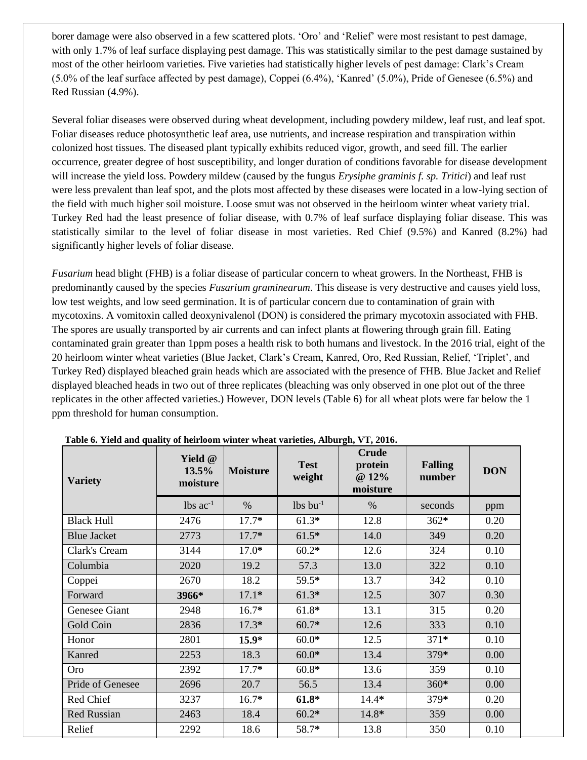borer damage were also observed in a few scattered plots. 'Oro' and 'Relief' were most resistant to pest damage, with only 1.7% of leaf surface displaying pest damage. This was statistically similar to the pest damage sustained by most of the other heirloom varieties. Five varieties had statistically higher levels of pest damage: Clark's Cream (5.0% of the leaf surface affected by pest damage), Coppei (6.4%), 'Kanred' (5.0%), Pride of Genesee (6.5%) and Red Russian (4.9%).

Several foliar diseases were observed during wheat development, including powdery mildew, leaf rust, and leaf spot. Foliar diseases reduce photosynthetic leaf area, use nutrients, and increase respiration and transpiration within colonized host tissues. The diseased plant typically exhibits reduced vigor, growth, and seed fill. The earlier occurrence, greater degree of host susceptibility, and longer duration of conditions favorable for disease development will increase the yield loss. Powdery mildew (caused by the fungus *Erysiphe graminis f. sp. Tritici*) and leaf rust were less prevalent than leaf spot, and the plots most affected by these diseases were located in a low-lying section of the field with much higher soil moisture. Loose smut was not observed in the heirloom winter wheat variety trial. Turkey Red had the least presence of foliar disease, with 0.7% of leaf surface displaying foliar disease. This was statistically similar to the level of foliar disease in most varieties. Red Chief (9.5%) and Kanred (8.2%) had significantly higher levels of foliar disease.

*Fusarium* head blight (FHB) is a foliar disease of particular concern to wheat growers. In the Northeast, FHB is predominantly caused by the species *Fusarium graminearum*. This disease is very destructive and causes yield loss, low test weights, and low seed germination. It is of particular concern due to contamination of grain with mycotoxins. A vomitoxin called deoxynivalenol (DON) is considered the primary mycotoxin associated with FHB. The spores are usually transported by air currents and can infect plants at flowering through grain fill. Eating contaminated grain greater than 1ppm poses a health risk to both humans and livestock. In the 2016 trial, eight of the 20 heirloom winter wheat varieties (Blue Jacket, Clark's Cream, Kanred, Oro, Red Russian, Relief, 'Triplet', and Turkey Red) displayed bleached grain heads which are associated with the presence of FHB. Blue Jacket and Relief displayed bleached heads in two out of three replicates (bleaching was only observed in one plot out of the three replicates in the other affected varieties.) However, DON levels (Table 6) for all wheat plots were far below the 1 ppm threshold for human consumption.

| <b>Variety</b>     | Yield @<br>13.5%<br>moisture | <b>Moisture</b> | <b>Test</b><br>weight  | <b>Crude</b><br>protein<br>@ 12%<br>moisture | <b>Falling</b><br>number | <b>DON</b> |
|--------------------|------------------------------|-----------------|------------------------|----------------------------------------------|--------------------------|------------|
|                    | $lbs$ ac <sup>-1</sup>       | $\%$            | $lbs$ bu <sup>-1</sup> | $\%$                                         | seconds                  | ppm        |
| <b>Black Hull</b>  | 2476                         | $17.7*$         | $61.3*$                | 12.8                                         | $362*$                   | 0.20       |
| <b>Blue Jacket</b> | 2773                         | $17.7*$         | $61.5*$                | 14.0                                         | 349                      | 0.20       |
| Clark's Cream      | 3144                         | $17.0*$         | $60.2*$                | 12.6                                         | 324                      | 0.10       |
| Columbia           | 2020                         | 19.2            | 57.3                   | 13.0                                         | 322                      | 0.10       |
| Coppei             | 2670                         | 18.2            | 59.5*                  | 13.7                                         | 342                      | 0.10       |
| Forward            | 3966*                        | $17.1*$         | $61.3*$                | 12.5                                         | 307                      | 0.30       |
| Genesee Giant      | 2948                         | $16.7*$         | $61.8*$                | 13.1                                         | 315                      | 0.20       |
| Gold Coin          | 2836                         | $17.3*$         | $60.7*$                | 12.6                                         | 333                      | 0.10       |
| Honor              | 2801                         | $15.9*$         | $60.0*$                | 12.5                                         | $371*$                   | 0.10       |
| Kanred             | 2253                         | 18.3            | $60.0*$                | 13.4                                         | 379*                     | 0.00       |
| Oro                | 2392                         | $17.7*$         | $60.8*$                | 13.6                                         | 359                      | 0.10       |
| Pride of Genesee   | 2696                         | 20.7            | 56.5                   | 13.4                                         | 360*                     | 0.00       |
| Red Chief          | 3237                         | $16.7*$         | $61.8*$                | $14.4*$                                      | 379*                     | 0.20       |
| <b>Red Russian</b> | 2463                         | 18.4            | $60.2*$                | 14.8*                                        | 359                      | 0.00       |
| Relief             | 2292                         | 18.6            | 58.7*                  | 13.8                                         | 350                      | 0.10       |

**Table 6. Yield and quality of heirloom winter wheat varieties, Alburgh, VT, 2016.**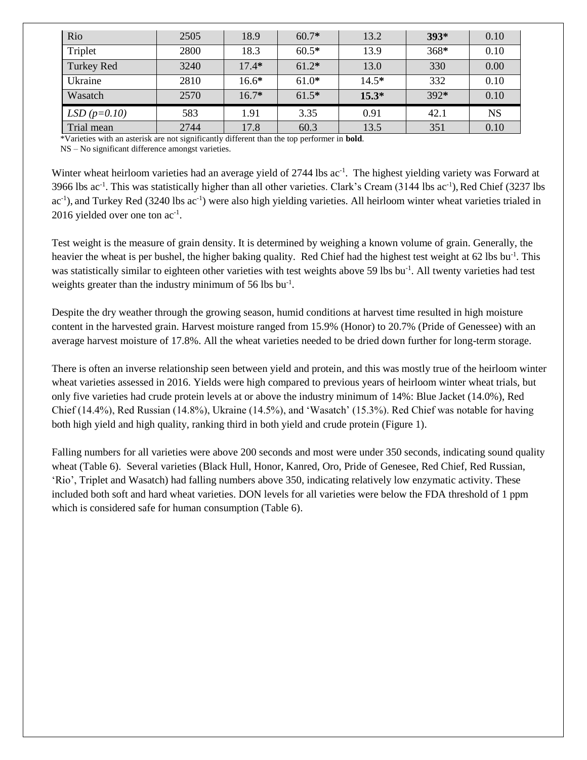| Rio               | 2505 | 18.9    | $60.7*$ | 13.2    | $393*$ | 0.10      |
|-------------------|------|---------|---------|---------|--------|-----------|
| Triplet           | 2800 | 18.3    | $60.5*$ | 13.9    | $368*$ | 0.10      |
| <b>Turkey Red</b> | 3240 | $17.4*$ | $61.2*$ | 13.0    | 330    | 0.00      |
| Ukraine           | 2810 | $16.6*$ | $61.0*$ | $14.5*$ | 332    | 0.10      |
| Wasatch           | 2570 | $16.7*$ | $61.5*$ | $15.3*$ | $392*$ | 0.10      |
| $LSD (p=0.10)$    | 583  | 1.91    | 3.35    | 0.91    | 42.1   | <b>NS</b> |
| Trial mean        | 2744 | 17.8    | 60.3    | 13.5    | 351    | 0.10      |

\*Varieties with an asterisk are not significantly different than the top performer in **bold**.

NS – No significant difference amongst varieties.

Winter wheat heirloom varieties had an average yield of 2744 lbs ac<sup>-1</sup>. The highest yielding variety was Forward at 3966 lbs ac<sup>-1</sup>. This was statistically higher than all other varieties. Clark's Cream (3144 lbs ac<sup>-1</sup>), Red Chief (3237 lbs ac<sup>-1</sup>), and Turkey Red (3240 lbs ac<sup>-1</sup>) were also high yielding varieties. All heirloom winter wheat varieties trialed in 2016 yielded over one ton ac<sup>-1</sup>.

Test weight is the measure of grain density. It is determined by weighing a known volume of grain. Generally, the heavier the wheat is per bushel, the higher baking quality. Red Chief had the highest test weight at 62 lbs bu<sup>-1</sup>. This was statistically similar to eighteen other varieties with test weights above 59 lbs bu<sup>-1</sup>. All twenty varieties had test weights greater than the industry minimum of 56 lbs bu<sup>-1</sup>.

Despite the dry weather through the growing season, humid conditions at harvest time resulted in high moisture content in the harvested grain. Harvest moisture ranged from 15.9% (Honor) to 20.7% (Pride of Genessee) with an average harvest moisture of 17.8%. All the wheat varieties needed to be dried down further for long-term storage.

There is often an inverse relationship seen between yield and protein, and this was mostly true of the heirloom winter wheat varieties assessed in 2016. Yields were high compared to previous years of heirloom winter wheat trials, but only five varieties had crude protein levels at or above the industry minimum of 14%: Blue Jacket (14.0%), Red Chief (14.4%), Red Russian (14.8%), Ukraine (14.5%), and 'Wasatch' (15.3%). Red Chief was notable for having both high yield and high quality, ranking third in both yield and crude protein (Figure 1).

Falling numbers for all varieties were above 200 seconds and most were under 350 seconds, indicating sound quality wheat (Table 6). Several varieties (Black Hull, Honor, Kanred, Oro, Pride of Genesee, Red Chief, Red Russian, 'Rio', Triplet and Wasatch) had falling numbers above 350, indicating relatively low enzymatic activity. These included both soft and hard wheat varieties. DON levels for all varieties were below the FDA threshold of 1 ppm which is considered safe for human consumption (Table 6).